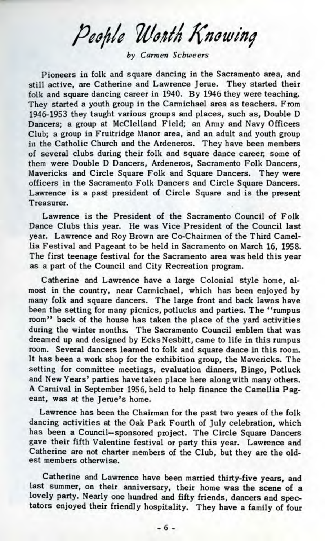People Worth Knowing

*by Carmen Schweers*

Pioneers in folk and square dancing in the Sacramento area, and still active, are Catherine and Lawrence Jerue. They started their folk and square dancing career in 1940. By 1946 they were teaching. They started a youth group in the Carmichael area as teachers. From 1946-1953 they taught various groups and places, such as, Double D Dancers; a group at McClelland Field; an Army and Navy Officers Club; a group in Fruitridge Manor area, and an adult and youth group in the Catholic Church and the Ardeneros. They have been members of several clubs during their folk and square dance career, some of them were Double D Dancers, Ardeneros, Sacramento Folk Dancers, Mavericks and Circle Square Folk and Square Dancers. They were officers in the Sacramento Folk Dancers and Circle Square Dancers. Lawrence is a past president of Circle Square and is the present Treasurer.

Lawrence is the President of the Sacramento Council of Folk Dance Clubs this year. He was Vice President of the Council last year. Lawrence and Roy Brown are Co-Chairmen of the Third Camellia Festival and Pageant to be held in Sacramento on March 16, 1958. The first teenage festival for the Sacramento area was held this year as a part of the Council and City Recreation program.

Catherine and Lawrence have a large Colonial style home, almost in the country, near Carmichael, which has been enjoyed by many folk and square dancers. The large front and back lawns have been the setting for many picnics, potlucks and parties. The "rumpus room" back of the house has taken the place of the yard activities during the winter months. The Sacramento Council emblem that was dreamed up and designed by EcksNesbitt, came to life in this rumpus room. Several dancers learned to folk and square dance in this room. It has been a work shop for the exhibition group, the Mavericks. The setting for committee meetings, evaluation dinners, Bingo, Potluck and New Years' parties have taken place here along with many others. A Carnival in September 1956, held to help finance the Camellia Pageant, was at the Jerue's home.

Lawrence has been the Chairman for the past two years of the folk dancing activities at the Oak Park Fourth of July celebration, which has been a Council--sponsored project. The Circle Square Dancers gave their fifth Valentine festival or party this year. Lawrence and Catherine are not charter members of the Club, but they are the oldest members otherwise.

Catherine and Lawrence have been married thirty-five years, and last summer, on their anniversary, their home was the scene of a lovely party. Nearly one hundred and fifty friends, dancers and spectators enjoyed their friendly hospitality. They have a family of four